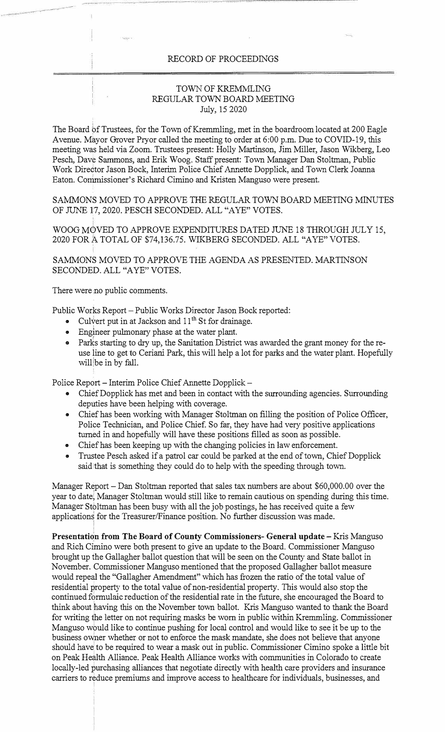## RECORD OF PROCEEDINGS

## TOWN OF KREMMLING REGULAR TOWN BOARD MEETING July, 15 2020

The Board of Trustees, for the Town of Kremmling, met in the boardroom located at 200 Eagle Avenue. Mayor Grover Pryor called the meeting to order at 6:00 p.m. Due to COVID-19, this meeting was held via Zoom. Trustees present: Holly Martinson, Jim Miller, Jason Wikberg, Leo Pesch, Dave Sammons, and Erik Woog. Staff present: Town Manager Dan Stoltman, Public Work Director Jason Bock, Interim Police Chief Annette Dopplick, and Town Clerk Joanna Eaton. Commissioner's Richard Cimino and Kristen Manguso were present.

SAMMONS MOVED TO APPROVE THE REGULAR TOWN BOARD MEETING MINUTES OF JUNE 17, 2020. PESCH SECONDED. ALL "A YE" VOTES.

WOOG MOVED TO APPROVE EXPENDITURES DATED JUNE 18 THROUGH JULY 15, 2020 FOR A TOTAL OF \$74,136.75. WIKBERG SECONDED. ALL "A YE" VOTES.

SAMMONS MOVED TO APPROVE THE AGENDA AS PRESENTED. MARTINSON SECONDED. ALL "AYE" VOTES.

There were no public comments.

Public Works Report - Public Works Director Jason Bock reported:

- Culvert put in at Jackson and  $11<sup>th</sup>$  St for drainage.
- Engineer pulmonary phase at the water plant.
- Parks starting to dry up, the Sanitation District was awarded the grant money for the reuse line to get to Ceriani Park, this will help a lot for parks and the water plant. Hopefully will be in by fall.

Police Report - Interim Police Chief Annette Dopplick -

- Chief Dopplick has met and been in contact with the surrounding agencies. Surrounding deputies have been helping with coverage.
- Chief has been working with Manager Stoltman on filling the position of Police Officer, Police Technician, and Police Chief. So far, they have had very positive applications turned in and hopefully will have these positions filled as soon as possible.
- Chief has been keeping up with the changing policies in law enforcement.
- Trustee Pesch asked if a patrol car could be parked at the end of town, Chief Dopplick said that is something they could do to help with the speeding through town.

Manager Report - Dan Stoltman reported that sales tax numbers are about \$60,000.00 over the year to date; Manager Stoltman would still like to remain cautious on spending during this time. Manager Stoltman has been busy with all the job postings, he has received quite a few applications for the Treasurer/Finance position. No further discussion was made.

**Presentation from The Board of County Commissioners- General update** - Kris Manguso and Rich Cimino were both present to give an update to the Board. Commissioner Manguso brought up the Gallagher ballot question that will be seen on the County and State ballot in November. Commissioner Manguso mentioned that the proposed Gallagher ballot measure would repeal the "Gallagher Amendment" which has frozen the ratio of the total value of residential property to the total value of non-residential property. This would also stop the continued formulaic reduction of the residential rate in the future, she encouraged the Board to think about having this on the November town ballot. Kris Manguso wanted to thank the Board for writing the Jetter on not requiring masks be worn in public within Kremmling. Commissioner Manguso would like to continue pushing for local control and would like to see it be up to the business owner whether or not to enforce the mask mandate, she does not believe that anyone should have to be required to wear a mask out in public. Commissioner Cimino spoke a little bit on Peak Health Alliance. Peak Health Alliance works with communities in Colorado to create locally-led purchasing alliances that negotiate directly with health care providers and insurance carriers to reduce premiums and improve access to healthcare for individuals, businesses, and